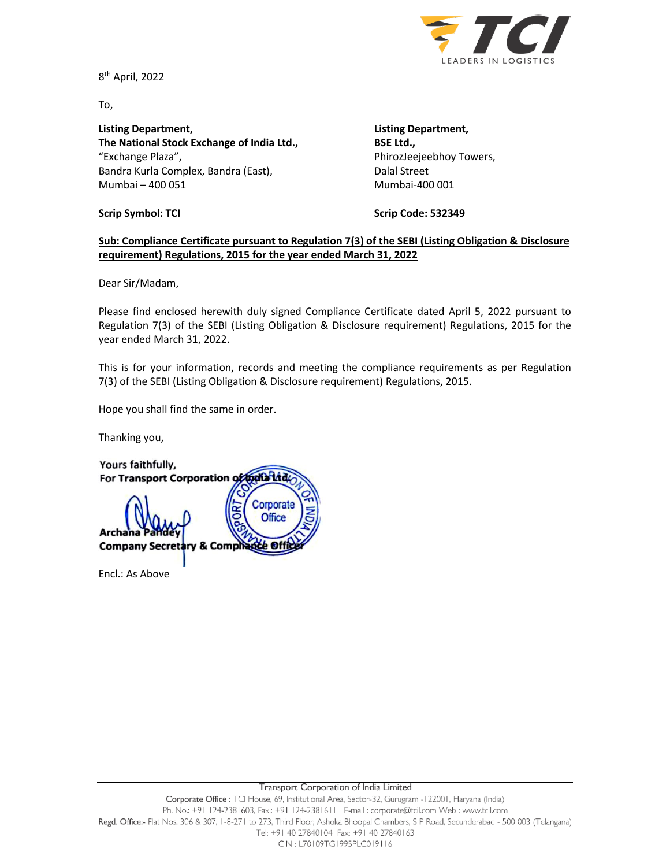

8<sup>th</sup> April, 2022

To,

**Listing Department, Listing Department, The National Stock Exchange of India Ltd., BSE Ltd.,** "Exchange Plaza", PhirozJeejeebhoy Towers, Bandra Kurla Complex, Bandra (East), Dalal Street Mumbai – 400 051 Mumbai-400 001

**Scrip Symbol: TCI Scrip Code: 532349**

## **Sub: Compliance Certificate pursuant to Regulation 7(3) of the SEBI (Listing Obligation & Disclosure requirement) Regulations, 2015 for the year ended March 31, 2022**

Dear Sir/Madam,

Please find enclosed herewith duly signed Compliance Certificate dated April 5, 2022 pursuant to Regulation 7(3) of the SEBI (Listing Obligation & Disclosure requirement) Regulations, 2015 for the year ended March 31, 2022.

This is for your information, records and meeting the compliance requirements as per Regulation 7(3) of the SEBI (Listing Obligation & Disclosure requirement) Regulations, 2015.

Hope you shall find the same in order.

Thanking you,

Yours faithfully, For Transport Corporation of both Ltd. Corporate **Office** Archana **Company Secret** & Comp

Encl.: As Above